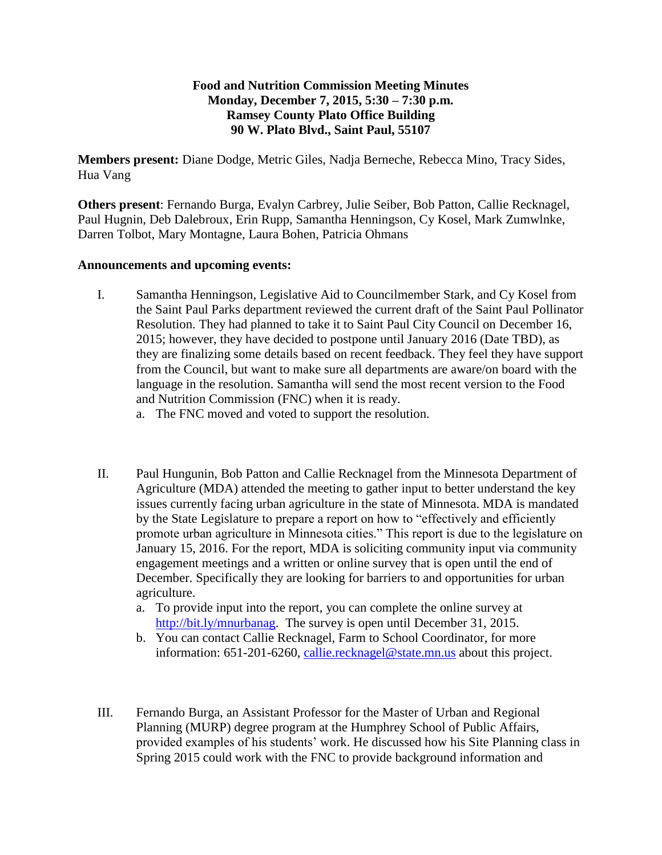## **Food and Nutrition Commission Meeting Minutes Monday, December 7, 2015, 5:30 – 7:30 p.m. Ramsey County Plato Office Building 90 W. Plato Blvd., Saint Paul, 55107**

**Members present:** Diane Dodge, Metric Giles, Nadja Berneche, Rebecca Mino, Tracy Sides, Hua Vang

**Others present**: Fernando Burga, Evalyn Carbrey, Julie Seiber, Bob Patton, Callie Recknagel, Paul Hugnin, Deb Dalebroux, Erin Rupp, Samantha Henningson, Cy Kosel, Mark Zumwlnke, Darren Tolbot, Mary Montagne, Laura Bohen, Patricia Ohmans

## **Announcements and upcoming events:**

- I. Samantha Henningson, Legislative Aid to Councilmember Stark, and Cy Kosel from the Saint Paul Parks department reviewed the current draft of the Saint Paul Pollinator Resolution. They had planned to take it to Saint Paul City Council on December 16, 2015; however, they have decided to postpone until January 2016 (Date TBD), as they are finalizing some details based on recent feedback. They feel they have support from the Council, but want to make sure all departments are aware/on board with the language in the resolution. Samantha will send the most recent version to the Food and Nutrition Commission (FNC) when it is ready.
	- a. The FNC moved and voted to support the resolution.
- II. Paul Hungunin, Bob Patton and Callie Recknagel from the Minnesota Department of Agriculture (MDA) attended the meeting to gather input to better understand the key issues currently facing urban agriculture in the state of Minnesota. MDA is mandated by the State Legislature to prepare a report on how to "effectively and efficiently promote urban agriculture in Minnesota cities." This report is due to the legislature on January 15, 2016. For the report, MDA is soliciting community input via community engagement meetings and a written or online survey that is open until the end of December. Specifically they are looking for barriers to and opportunities for urban agriculture.
	- a. To provide input into the report, you can complete the online survey at [http://bit.ly/mnurbanag.](http://bit.ly/mnurbanag) The survey is open until December 31, 2015.
	- b. You can contact Callie Recknagel, Farm to School Coordinator, for more information: 651-201-6260, [callie.recknagel@state.mn.us](mailto:callie.recknagel@state.mn.us) about this project.
- III. Fernando Burga, an Assistant Professor for the Master of Urban and Regional Planning (MURP) degree program at the Humphrey School of Public Affairs, provided examples of his students' work. He discussed how his Site Planning class in Spring 2015 could work with the FNC to provide background information and